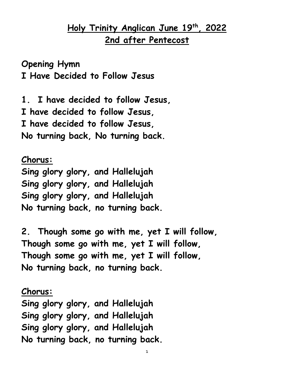### **Holy Trinity Anglican June 19th , 2022 2nd after Pentecost**

**Opening Hymn I Have Decided to Follow Jesus**

**1. I have decided to follow Jesus, I have decided to follow Jesus, I have decided to follow Jesus, No turning back, No turning back.**

**Chorus: Sing glory glory, and Hallelujah Sing glory glory, and Hallelujah Sing glory glory, and Hallelujah No turning back, no turning back.**

**2. Though some go with me, yet I will follow, Though some go with me, yet I will follow, Though some go with me, yet I will follow, No turning back, no turning back.**

**Chorus: Sing glory glory, and Hallelujah Sing glory glory, and Hallelujah Sing glory glory, and Hallelujah No turning back, no turning back.**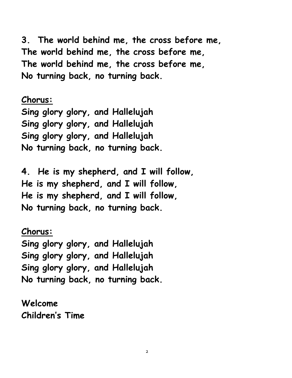**3. The world behind me, the cross before me, The world behind me, the cross before me, The world behind me, the cross before me, No turning back, no turning back.**

**Chorus: Sing glory glory, and Hallelujah Sing glory glory, and Hallelujah Sing glory glory, and Hallelujah No turning back, no turning back.**

**4. He is my shepherd, and I will follow, He is my shepherd, and I will follow, He is my shepherd, and I will follow, No turning back, no turning back.**

**Chorus: Sing glory glory, and Hallelujah Sing glory glory, and Hallelujah Sing glory glory, and Hallelujah No turning back, no turning back.**

**Welcome Children's Time**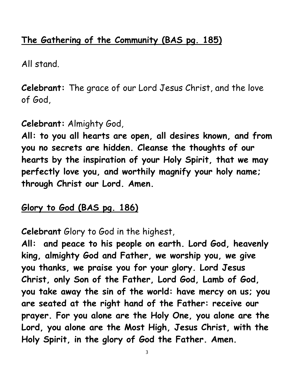## **The Gathering of the Community (BAS pg. 185)**

All stand.

**Celebrant:** The grace of our Lord Jesus Christ, and the love of God,

### **Celebrant:** Almighty God,

**All: to you all hearts are open, all desires known, and from you no secrets are hidden. Cleanse the thoughts of our hearts by the inspiration of your Holy Spirit, that we may perfectly love you, and worthily magnify your holy name; through Christ our Lord. Amen.**

### **Glory to God (BAS pg. 186)**

**Celebrant** Glory to God in the highest,

**All: and peace to his people on earth. Lord God, heavenly king, almighty God and Father, we worship you, we give you thanks, we praise you for your glory. Lord Jesus Christ, only Son of the Father, Lord God, Lamb of God, you take away the sin of the world: have mercy on us; you are seated at the right hand of the Father: receive our prayer. For you alone are the Holy One, you alone are the Lord, you alone are the Most High, Jesus Christ, with the Holy Spirit, in the glory of God the Father. Amen.**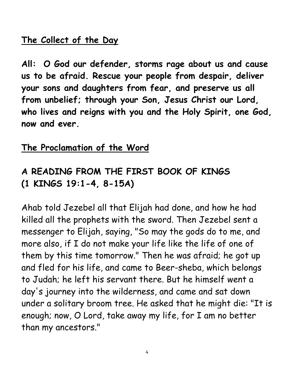### **The Collect of the Day**

**All: O God our defender, storms rage about us and cause us to be afraid. Rescue your people from despair, deliver your sons and daughters from fear, and preserve us all from unbelief; through your Son, Jesus Christ our Lord, who lives and reigns with you and the Holy Spirit, one God, now and ever.**

### **The Proclamation of the Word**

# **A READING FROM THE FIRST BOOK OF KINGS (1 KINGS 19:1-4, 8-15A)**

Ahab told Jezebel all that Elijah had done, and how he had killed all the prophets with the sword. Then Jezebel sent a messenger to Elijah, saying, "So may the gods do to me, and more also, if I do not make your life like the life of one of them by this time tomorrow." Then he was afraid; he got up and fled for his life, and came to Beer-sheba, which belongs to Judah; he left his servant there. But he himself went a day's journey into the wilderness, and came and sat down under a solitary broom tree. He asked that he might die: "It is enough; now, O Lord, take away my life, for I am no better than my ancestors."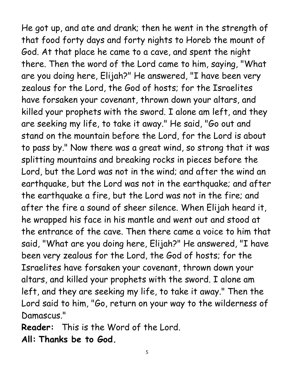He got up, and ate and drank; then he went in the strength of that food forty days and forty nights to Horeb the mount of God. At that place he came to a cave, and spent the night there. Then the word of the Lord came to him, saying, "What are you doing here, Elijah?" He answered, "I have been very zealous for the Lord, the God of hosts; for the Israelites have forsaken your covenant, thrown down your altars, and killed your prophets with the sword. I alone am left, and they are seeking my life, to take it away." He said, "Go out and stand on the mountain before the Lord, for the Lord is about to pass by." Now there was a great wind, so strong that it was splitting mountains and breaking rocks in pieces before the Lord, but the Lord was not in the wind; and after the wind an earthquake, but the Lord was not in the earthquake; and after the earthquake a fire, but the Lord was not in the fire; and after the fire a sound of sheer silence. When Elijah heard it, he wrapped his face in his mantle and went out and stood at the entrance of the cave. Then there came a voice to him that said, "What are you doing here, Elijah?" He answered, "I have been very zealous for the Lord, the God of hosts; for the Israelites have forsaken your covenant, thrown down your altars, and killed your prophets with the sword. I alone am left, and they are seeking my life, to take it away." Then the Lord said to him, "Go, return on your way to the wilderness of Damascus."

**Reader:** This is the Word of the Lord. **All: Thanks be to God.**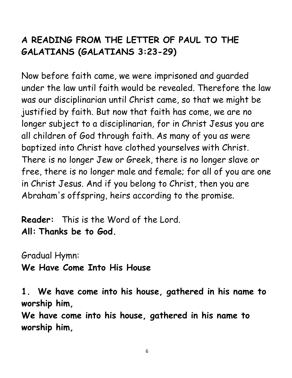# **A READING FROM THE LETTER OF PAUL TO THE GALATIANS (GALATIANS 3:23-29)**

Now before faith came, we were imprisoned and guarded under the law until faith would be revealed. Therefore the law was our disciplinarian until Christ came, so that we might be justified by faith. But now that faith has come, we are no longer subject to a disciplinarian, for in Christ Jesus you are all children of God through faith. As many of you as were baptized into Christ have clothed yourselves with Christ. There is no longer Jew or Greek, there is no longer slave or free, there is no longer male and female; for all of you are one in Christ Jesus. And if you belong to Christ, then you are Abraham's offspring, heirs according to the promise.

**Reader:** This is the Word of the Lord. **All: Thanks be to God.**

Gradual Hymn:

**We Have Come Into His House**

**1. We have come into his house, gathered in his name to worship him,**

**We have come into his house, gathered in his name to worship him,**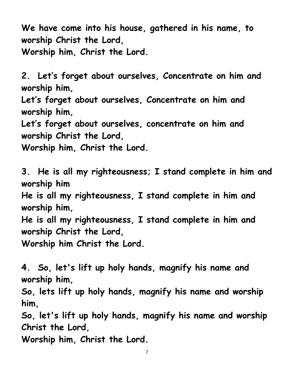**We have come into his house, gathered in his name, to worship Christ the Lord, Worship him, Christ the Lord.**

**2. Let's forget about ourselves, Concentrate on him and worship him,**

**Let's forget about ourselves, Concentrate on him and worship him,**

**Let's forget about ourselves, concentrate on him and worship Christ the Lord,**

**Worship him, Christ the Lord.**

**3. He is all my righteousness; I stand complete in him and worship him**

**He is all my righteousness, I stand complete in him and worship him,**

**He is all my righteousness, I stand complete in him and worship Christ the Lord,**

**Worship him Christ the Lord.**

**4. So, let's lift up holy hands, magnify his name and worship him,**

**So, lets lift up holy hands, magnify his name and worship him,**

**So, let's lift up holy hands, magnify his name and worship Christ the Lord,**

**Worship him, Christ the Lord.**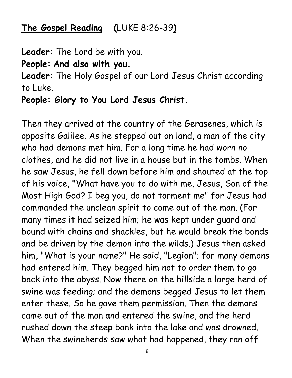## **The Gospel Reading (**LUKE 8:26-39**)**

**Leader:** The Lord be with you.

**People: And also with you.**

**Leader:** The Holy Gospel of our Lord Jesus Christ according to Luke.

**People: Glory to You Lord Jesus Christ.**

Then they arrived at the country of the Gerasenes, which is opposite Galilee. As he stepped out on land, a man of the city who had demons met him. For a long time he had worn no clothes, and he did not live in a house but in the tombs. When he saw Jesus, he fell down before him and shouted at the top of his voice, "What have you to do with me, Jesus, Son of the Most High God? I beg you, do not torment me" for Jesus had commanded the unclean spirit to come out of the man. (For many times it had seized him; he was kept under guard and bound with chains and shackles, but he would break the bonds and be driven by the demon into the wilds.) Jesus then asked him, "What is your name?" He said, "Legion"; for many demons had entered him. They begged him not to order them to go back into the abyss. Now there on the hillside a large herd of swine was feeding; and the demons begged Jesus to let them enter these. So he gave them permission. Then the demons came out of the man and entered the swine, and the herd rushed down the steep bank into the lake and was drowned. When the swineherds saw what had happened, they ran off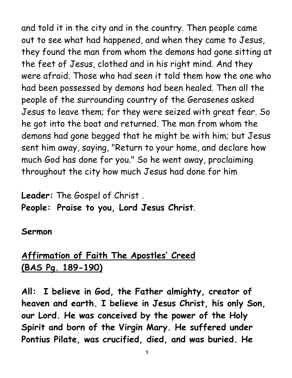and told it in the city and in the country. Then people came out to see what had happened, and when they came to Jesus, they found the man from whom the demons had gone sitting at the feet of Jesus, clothed and in his right mind. And they were afraid. Those who had seen it told them how the one who had been possessed by demons had been healed. Then all the people of the surrounding country of the Gerasenes asked Jesus to leave them; for they were seized with great fear. So he got into the boat and returned. The man from whom the demons had gone begged that he might be with him; but Jesus sent him away, saying, "Return to your home, and declare how much God has done for you." So he went away, proclaiming throughout the city how much Jesus had done for him

# **Leader:** The Gospel of Christ . **People: Praise to you, Lord Jesus Christ**.

### **Sermon**

# **Affirmation of Faith The Apostles' Creed (BAS Pg. 189-190)**

**All: I believe in God, the Father almighty, creator of heaven and earth. I believe in Jesus Christ, his only Son, our Lord. He was conceived by the power of the Holy Spirit and born of the Virgin Mary. He suffered under Pontius Pilate, was crucified, died, and was buried. He**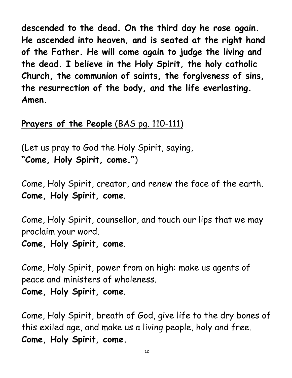**descended to the dead. On the third day he rose again. He ascended into heaven, and is seated at the right hand of the Father. He will come again to judge the living and the dead. I believe in the Holy Spirit, the holy catholic Church, the communion of saints, the forgiveness of sins, the resurrection of the body, and the life everlasting. Amen.**

# **Prayers of the People** (BAS pg. 110-111)

(Let us pray to God the Holy Spirit, saying, **"Come, Holy Spirit, come."**)

Come, Holy Spirit, creator, and renew the face of the earth. **Come, Holy Spirit, come**.

Come, Holy Spirit, counsellor, and touch our lips that we may proclaim your word.

**Come, Holy Spirit, come**.

Come, Holy Spirit, power from on high: make us agents of peace and ministers of wholeness.

**Come, Holy Spirit, come**.

Come, Holy Spirit, breath of God, give life to the dry bones of this exiled age, and make us a living people, holy and free. **Come, Holy Spirit, come.**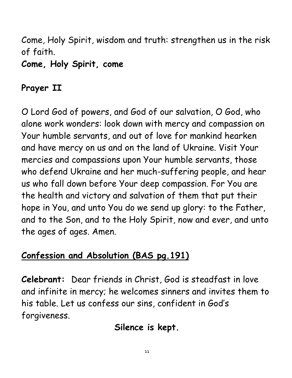Come, Holy Spirit, wisdom and truth: strengthen us in the risk of faith.

**Come, Holy Spirit, come**

# **Prayer II**

O Lord God of powers, and God of our salvation, O God, who alone work wonders: look down with mercy and compassion on Your humble servants, and out of love for mankind hearken and have mercy on us and on the land of Ukraine. Visit Your mercies and compassions upon Your humble servants, those who defend Ukraine and her much-suffering people, and hear us who fall down before Your deep compassion. For You are the health and victory and salvation of them that put their hope in You, and unto You do we send up glory: to the Father, and to the Son, and to the Holy Spirit, now and ever, and unto the ages of ages. Amen.

# **Confession and Absolution (BAS pg.191)**

**Celebrant:** Dear friends in Christ, God is steadfast in love and infinite in mercy; he welcomes sinners and invites them to his table. Let us confess our sins, confident in God's forgiveness.

# **Silence is kept.**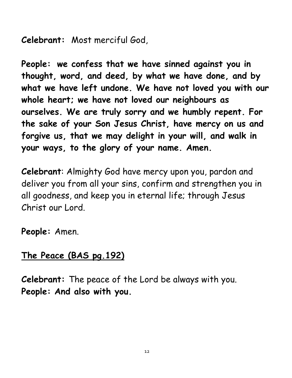**Celebrant:** Most merciful God,

**People: we confess that we have sinned against you in thought, word, and deed, by what we have done, and by what we have left undone. We have not loved you with our whole heart; we have not loved our neighbours as ourselves. We are truly sorry and we humbly repent. For the sake of your Son Jesus Christ, have mercy on us and forgive us, that we may delight in your will, and walk in your ways, to the glory of your name. Amen.**

**Celebrant**: Almighty God have mercy upon you, pardon and deliver you from all your sins, confirm and strengthen you in all goodness, and keep you in eternal life; through Jesus Christ our Lord.

**People:** Amen.

# **The Peace (BAS pg.192)**

**Celebrant:** The peace of the Lord be always with you. **People: And also with you.**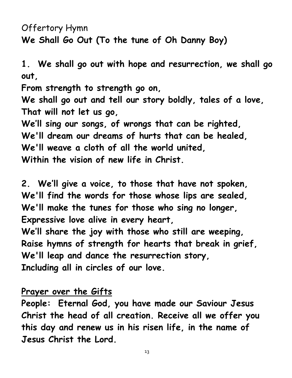Offertory Hymn **We Shall Go Out (To the tune of Oh Danny Boy)**

**1. We shall go out with hope and resurrection, we shall go out,**

**From strength to strength go on,** 

**We shall go out and tell our story boldly, tales of a love, That will not let us go,**

**We'll sing our songs, of wrongs that can be righted, We'll dream our dreams of hurts that can be healed, We'll weave a cloth of all the world united, Within the vision of new life in Christ.**

**2. We'll give a voice, to those that have not spoken, We'll find the words for those whose lips are sealed, We'll make the tunes for those who sing no longer, Expressive love alive in every heart,**

**We'll share the joy with those who still are weeping, Raise hymns of strength for hearts that break in grief, We'll leap and dance the resurrection story, Including all in circles of our love.**

### **Prayer over the Gifts**

**People: Eternal God, you have made our Saviour Jesus Christ the head of all creation. Receive all we offer you this day and renew us in his risen life, in the name of Jesus Christ the Lord.**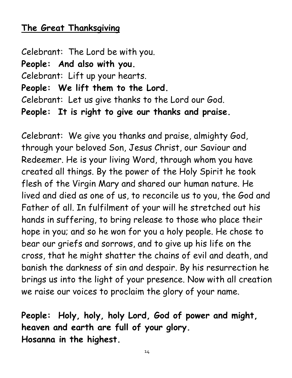### **The Great Thanksgiving**

Celebrant: The Lord be with you. **People: And also with you.** Celebrant: Lift up your hearts. **People: We lift them to the Lord.** Celebrant: Let us give thanks to the Lord our God. **People: It is right to give our thanks and praise.**

Celebrant: We give you thanks and praise, almighty God, through your beloved Son, Jesus Christ, our Saviour and Redeemer. He is your living Word, through whom you have created all things. By the power of the Holy Spirit he took flesh of the Virgin Mary and shared our human nature. He lived and died as one of us, to reconcile us to you, the God and Father of all. In fulfilment of your will he stretched out his hands in suffering, to bring release to those who place their hope in you; and so he won for you a holy people. He chose to bear our griefs and sorrows, and to give up his life on the cross, that he might shatter the chains of evil and death, and banish the darkness of sin and despair. By his resurrection he brings us into the light of your presence. Now with all creation we raise our voices to proclaim the glory of your name.

**People: Holy, holy, holy Lord, God of power and might, heaven and earth are full of your glory. Hosanna in the highest.**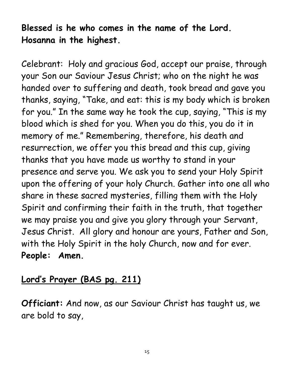# **Blessed is he who comes in the name of the Lord. Hosanna in the highest.**

Celebrant: Holy and gracious God, accept our praise, through your Son our Saviour Jesus Christ; who on the night he was handed over to suffering and death, took bread and gave you thanks, saying, "Take, and eat: this is my body which is broken for you." In the same way he took the cup, saying, "This is my blood which is shed for you. When you do this, you do it in memory of me." Remembering, therefore, his death and resurrection, we offer you this bread and this cup, giving thanks that you have made us worthy to stand in your presence and serve you. We ask you to send your Holy Spirit upon the offering of your holy Church. Gather into one all who share in these sacred mysteries, filling them with the Holy Spirit and confirming their faith in the truth, that together we may praise you and give you glory through your Servant, Jesus Christ. All glory and honour are yours, Father and Son, with the Holy Spirit in the holy Church, now and for ever. **People: Amen.**

# **Lord's Prayer (BAS pg. 211)**

**Officiant:** And now, as our Saviour Christ has taught us, we are bold to say,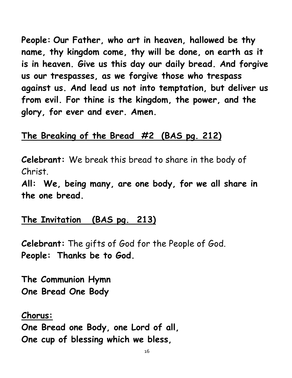**People: Our Father, who art in heaven, hallowed be thy name, thy kingdom come, thy will be done, on earth as it is in heaven. Give us this day our daily bread. And forgive us our trespasses, as we forgive those who trespass against us. And lead us not into temptation, but deliver us from evil. For thine is the kingdom, the power, and the glory, for ever and ever. Amen.**

### **The Breaking of the Bread #2 (BAS pg. 212)**

**Celebrant:** We break this bread to share in the body of Christ.

**All: We, being many, are one body, for we all share in the one bread.**

### **The Invitation (BAS pg. 213)**

**Celebrant:** The gifts of God for the People of God. **People: Thanks be to God.**

**The Communion Hymn One Bread One Body**

### **Chorus:**

**One Bread one Body, one Lord of all, One cup of blessing which we bless,**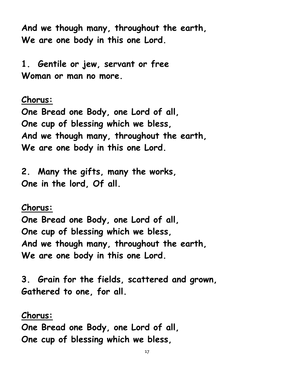**And we though many, throughout the earth, We are one body in this one Lord.**

**1. Gentile or jew, servant or free Woman or man no more.**

**Chorus:**

**One Bread one Body, one Lord of all, One cup of blessing which we bless, And we though many, throughout the earth, We are one body in this one Lord.**

**2. Many the gifts, many the works, One in the lord, Of all.**

### **Chorus:**

**One Bread one Body, one Lord of all, One cup of blessing which we bless, And we though many, throughout the earth, We are one body in this one Lord.**

**3. Grain for the fields, scattered and grown, Gathered to one, for all.**

### **Chorus:**

**One Bread one Body, one Lord of all, One cup of blessing which we bless,**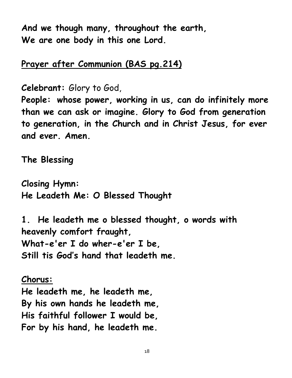**And we though many, throughout the earth, We are one body in this one Lord.**

### **Prayer after Communion (BAS pg.214)**

**Celebrant:** Glory to God,

**People: whose power, working in us, can do infinitely more than we can ask or imagine. Glory to God from generation to generation, in the Church and in Christ Jesus, for ever and ever. Amen.**

**The Blessing** 

**Closing Hymn: He Leadeth Me: O Blessed Thought**

**1. He leadeth me o blessed thought, o words with heavenly comfort fraught, What-e'er I do wher-e'er I be, Still tis God's hand that leadeth me.**

**Chorus: He leadeth me, he leadeth me, By his own hands he leadeth me, His faithful follower I would be, For by his hand, he leadeth me.**